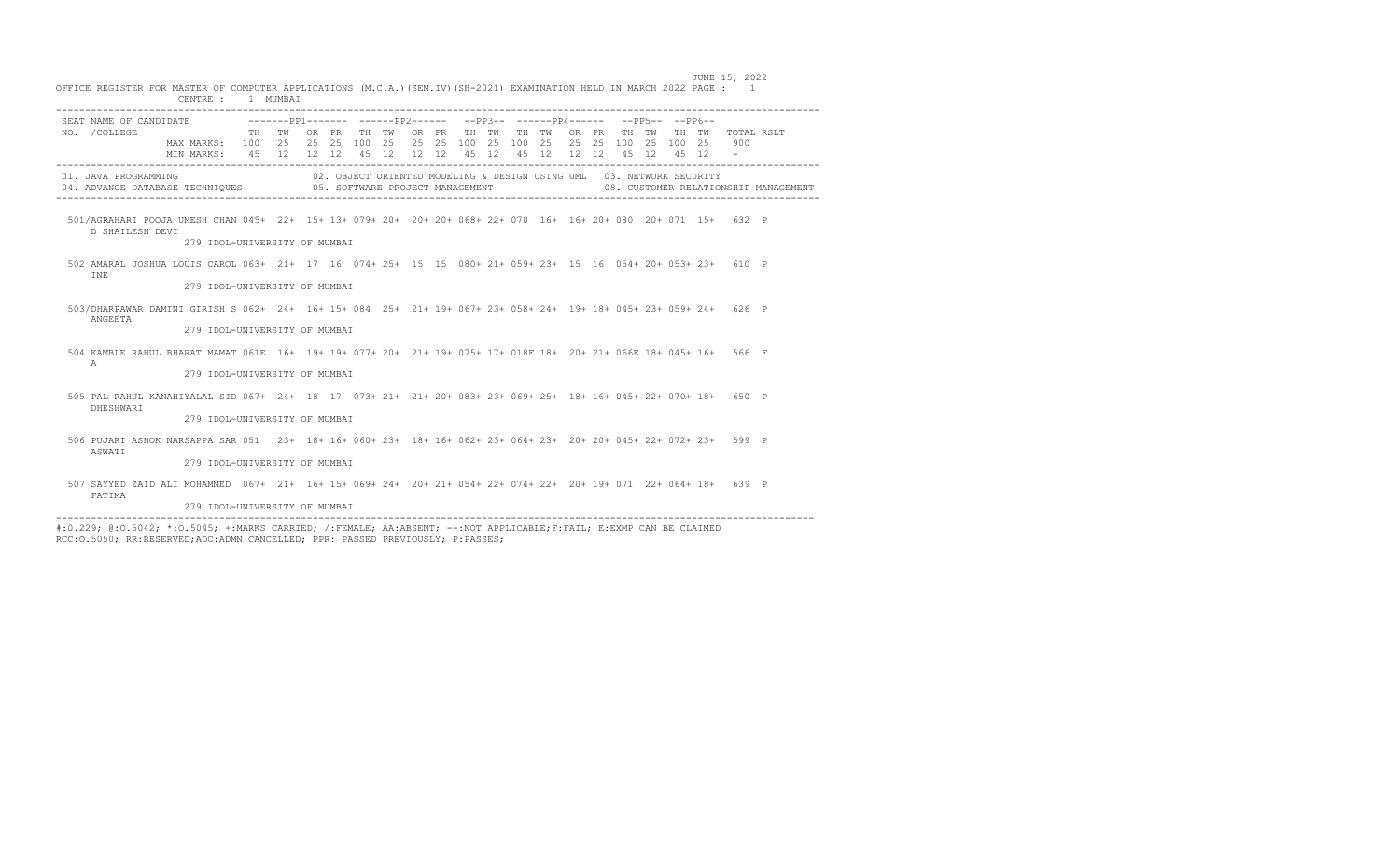|               | SEAT NAME OF CANDIDATE -------PP1------- -----PP2------ --PP3-- ------PP4------ --PP5-- --PP6--                   |                               |                           |  |  |  |  |       |                                                                      |  |                   |  |            |                                      |
|---------------|-------------------------------------------------------------------------------------------------------------------|-------------------------------|---------------------------|--|--|--|--|-------|----------------------------------------------------------------------|--|-------------------|--|------------|--------------------------------------|
| NO. / COLLEGE |                                                                                                                   |                               | TH TWORPR TH TWORPR TH TW |  |  |  |  | TH TW |                                                                      |  | OR PR TH TW TH TW |  | TOTAL RSLT |                                      |
|               | MAX MARKS: 100 25 25 25 100 25 25 25 100 25 100 25 25 25 100 25 100 25                                            |                               |                           |  |  |  |  |       |                                                                      |  |                   |  | 900        |                                      |
|               | MIN MARKS: 45 12 12 12 45 12 12 12 45 12 45 12 12 12 13 45 12 45 12                                               |                               |                           |  |  |  |  |       |                                                                      |  |                   |  |            |                                      |
|               | 01. JAVA PROGRAMMING                                                                                              |                               |                           |  |  |  |  |       | 02. OBJECT ORIENTED MODELING & DESIGN USING UML 03. NETWORK SECURITY |  |                   |  |            |                                      |
|               | 04. ADVANCE DATABASE TECHNIOUES 605. SOFTWARE PROJECT MANAGEMENT                                                  |                               |                           |  |  |  |  |       |                                                                      |  |                   |  |            | 08. CUSTOMER RELATIONSHIP MANAGEMENT |
|               |                                                                                                                   |                               |                           |  |  |  |  |       |                                                                      |  |                   |  |            |                                      |
|               | 501/AGRAHARI POOJA UMESH CHAN 045+ 22+ 15+ 13+ 079+ 20+ 20+ 20+ 068+ 22+ 070 16+ 16+ 20+ 080 20+ 071 15+ 632 P    |                               |                           |  |  |  |  |       |                                                                      |  |                   |  |            |                                      |
|               | D SHAILESH DEVI                                                                                                   |                               |                           |  |  |  |  |       |                                                                      |  |                   |  |            |                                      |
|               |                                                                                                                   | 279 IDOL-UNIVERSITY OF MUMBAI |                           |  |  |  |  |       |                                                                      |  |                   |  |            |                                      |
|               | 502 AMARAL JOSHUA LOUIS CAROL 063+ 21+ 17 16 074+ 25+ 15 15 080+ 21+ 059+ 23+ 15 16 054+ 20+ 053+ 23+ 610 P       |                               |                           |  |  |  |  |       |                                                                      |  |                   |  |            |                                      |
| TNE.          |                                                                                                                   |                               |                           |  |  |  |  |       |                                                                      |  |                   |  |            |                                      |
|               |                                                                                                                   | 279 IDOL-UNIVERSITY OF MUMBAI |                           |  |  |  |  |       |                                                                      |  |                   |  |            |                                      |
|               |                                                                                                                   |                               |                           |  |  |  |  |       |                                                                      |  |                   |  |            |                                      |
| ANGEETA       | 503/DHARPAWAR DAMINI GIRISH S 062+ 24+ 16+ 15+ 084 25+ 21+ 19+ 067+ 23+ 058+ 24+ 19+ 18+ 045+ 23+ 059+ 24+ 626 P  |                               |                           |  |  |  |  |       |                                                                      |  |                   |  |            |                                      |
|               |                                                                                                                   | 279 IDOL-UNIVERSITY OF MUMBAI |                           |  |  |  |  |       |                                                                      |  |                   |  |            |                                      |
|               |                                                                                                                   |                               |                           |  |  |  |  |       |                                                                      |  |                   |  |            |                                      |
| $\mathbb{A}$  | 504 KAMBLE RAHUL BHARAT MAMAT 061E 16+ 19+ 19+ 077+ 20+ 21+ 19+ 075+ 17+ 018F 18+ 20+ 21+ 066E 18+ 045+ 16+ 566 F |                               |                           |  |  |  |  |       |                                                                      |  |                   |  |            |                                      |
|               |                                                                                                                   | 279 IDOL-UNIVERSITY OF MUMBAI |                           |  |  |  |  |       |                                                                      |  |                   |  |            |                                      |
|               |                                                                                                                   |                               |                           |  |  |  |  |       |                                                                      |  |                   |  |            |                                      |
|               | 505 PAL RAHUL KANAHIYALAL SID 067+ 24+ 18 17 073+ 21+ 21+ 20+ 083+ 23+ 069+ 25+ 18+ 16+ 045+ 22+ 070+ 18+ 650 P   |                               |                           |  |  |  |  |       |                                                                      |  |                   |  |            |                                      |
|               | DHESHWART                                                                                                         | 279 IDOL-UNIVERSITY OF MUMBAI |                           |  |  |  |  |       |                                                                      |  |                   |  |            |                                      |
|               |                                                                                                                   |                               |                           |  |  |  |  |       |                                                                      |  |                   |  |            |                                      |
|               | 506 PUJARI ASHOK NARSAPPA SAR 051 23+ 18+ 16+ 060+ 23+ 18+ 16+ 062+ 23+ 064+ 23+ 20+ 20+ 045+ 22+ 072+ 23+ 599 P  |                               |                           |  |  |  |  |       |                                                                      |  |                   |  |            |                                      |
| ASWATT        |                                                                                                                   |                               |                           |  |  |  |  |       |                                                                      |  |                   |  |            |                                      |
|               |                                                                                                                   | 279 IDOL-UNIVERSITY OF MUMBAI |                           |  |  |  |  |       |                                                                      |  |                   |  |            |                                      |
|               | 507 SAYYED ZAID ALI MOHAMMED 067+ 21+ 16+ 15+ 069+ 24+ 20+ 21+ 054+ 22+ 074+ 22+ 20+ 19+ 071 22+ 064+ 18+ 639 P   |                               |                           |  |  |  |  |       |                                                                      |  |                   |  |            |                                      |
| FATIMA        |                                                                                                                   |                               |                           |  |  |  |  |       |                                                                      |  |                   |  |            |                                      |
|               |                                                                                                                   | 279 IDOL-UNIVERSITY OF MUMBAI |                           |  |  |  |  |       |                                                                      |  |                   |  |            |                                      |

JUNE 15, 2022 OFFICE REGISTER FOR MASTER OF COMPUTER APPLICATIONS (M.C.A.)(SEM.IV)(SH-2021) EXAMINATION HELD IN MARCH 2022 PAGE : 1

#:0.229; @:O.5042; \*:O.5045; +:MARKS CARRIED; /:FEMALE; AA:ABSENT; --:NOT APPLICABLE;F:FAIL; E:EXMP CAN BE CLAIMED RCC:O.5050; RR:RESERVED;ADC:ADMN CANCELLED; PPR: PASSED PREVIOUSLY; P:PASSES;

----------------------------------------------------------------------------------------------------------------------------------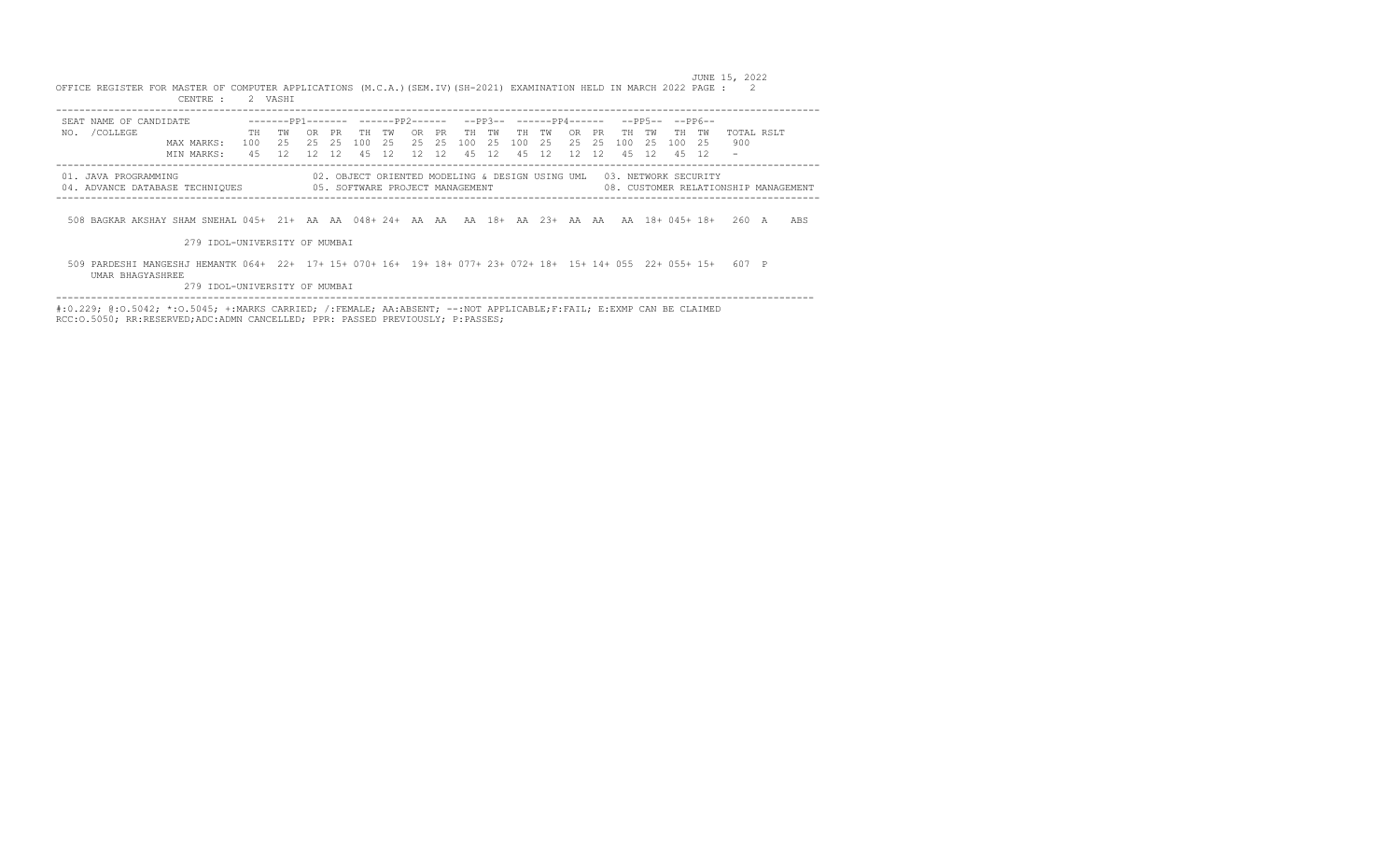|                                                                                                                                      | SEAT NAME OF CANDIDATE        | --------pp1------- ------pp2------ --pp3-- ------pp4------ --pp5-- --pp6-- |                                                                      |         |       |                     |       |  |       |        |       |                   |    |                 |                                      |     |
|--------------------------------------------------------------------------------------------------------------------------------------|-------------------------------|----------------------------------------------------------------------------|----------------------------------------------------------------------|---------|-------|---------------------|-------|--|-------|--------|-------|-------------------|----|-----------------|--------------------------------------|-----|
| NO. / COLLEGE                                                                                                                        |                               | TH TW                                                                      |                                                                      | OR PR   | TH TW |                     | OR PR |  | TH TW | TH TW  |       | OR PRTHTW         | TH | TW <sub>w</sub> | TOTAL RSLT                           |     |
|                                                                                                                                      | MAX MARKS:                    | 100 2.5                                                                    |                                                                      | 2.5 2.5 |       | 100 25 25 25 100 25 |       |  |       | 100 25 | 25 25 | 100 25 100        |    | - 25            | 900                                  |     |
|                                                                                                                                      | MIN MARKS:                    |                                                                            | 45 12 12 12                                                          |         |       | 45 12 12 12 45 12   |       |  |       | 45 12  |       | 12 12 45 12 45 12 |    |                 |                                      |     |
| 01. JAVA PROGRAMMING<br>04. ADVANCE DATABASE TECHNIOUES 605. SOFTWARE PROJECT MANAGEMENT                                             |                               |                                                                            | 02. OBJECT ORIENTED MODELING & DESIGN USING UML 03. NETWORK SECURITY |         |       |                     |       |  |       |        |       |                   |    |                 | 08. CUSTOMER RELATIONSHIP MANAGEMENT |     |
| 508 BAGKAR AKSHAY SHAM SNEHAL 045+ 21+ AA AA 048+24+ AA AA AA 18+ AA 23+ AA AA AA 18+ 045+18+                                        |                               |                                                                            |                                                                      |         |       |                     |       |  |       |        |       |                   |    |                 | 260 A                                | ABS |
|                                                                                                                                      | 279 IDOL-UNIVERSITY OF MUMBAI |                                                                            |                                                                      |         |       |                     |       |  |       |        |       |                   |    |                 |                                      |     |
|                                                                                                                                      |                               |                                                                            |                                                                      |         |       |                     |       |  |       |        |       |                   |    |                 |                                      |     |
| 509 PARDESHI MANGESHJ HEMANTK 064+ 22+ 17+ 15+ 070+ 16+ 19+ 18+ 077+ 23+ 072+ 18+ 15+ 14+ 055 22+ 055+ 15+ 607 P<br>UMAR BHAGYASHREE |                               |                                                                            |                                                                      |         |       |                     |       |  |       |        |       |                   |    |                 |                                      |     |

JUNE 15, 2022

RCC:O.5050; RR:RESERVED;ADC:ADMN CANCELLED; PPR: PASSED PREVIOUSLY; P:PASSES;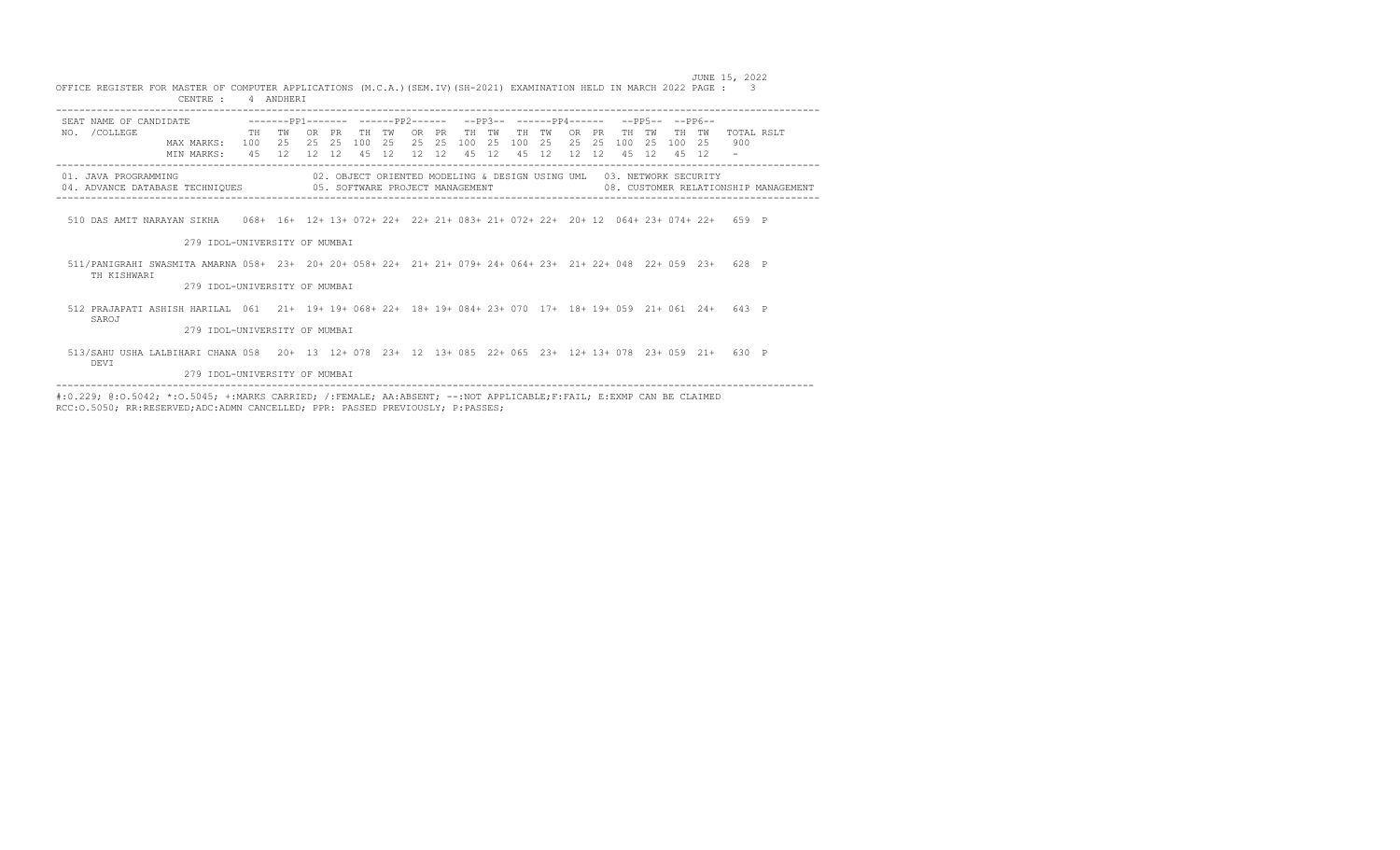|                                                                                                                                | CENTRE :                                                                |            | 4 ANDHERI       |                             |                 |                  |                 |                             |            |                  |                 |                 |                 |                      |            |                                    |                 |                 |                                                                      |                   |                                      |
|--------------------------------------------------------------------------------------------------------------------------------|-------------------------------------------------------------------------|------------|-----------------|-----------------------------|-----------------|------------------|-----------------|-----------------------------|------------|------------------|-----------------|-----------------|-----------------|----------------------|------------|------------------------------------|-----------------|-----------------|----------------------------------------------------------------------|-------------------|--------------------------------------|
| SEAT NAME OF CANDIDATE -------PP1------- ------PP2------                                                                       |                                                                         |            |                 |                             |                 |                  |                 |                             |            |                  |                 |                 |                 |                      |            | $-PP3- ---PP4---- -PP5- ---PP5---$ |                 |                 |                                                                      |                   |                                      |
| /COLLEGE<br>NO.                                                                                                                | <b>Example 19 The Pressure of the Press</b><br>MAX MARKS:<br>MIN MARKS: | 100<br>4.5 | тw<br>2.5<br>12 | 0 <sub>R</sub><br>2.5<br>12 | PR<br>2.5<br>12 | TН<br>100<br>4.5 | TW<br>2.5<br>12 | OR.<br>2.5<br>$12 \quad 12$ | PR.<br>2.5 | TН<br>100<br>4.5 | TW<br>2.5<br>12 | TH<br>100<br>45 | тw<br>2.5<br>12 | OR.<br>2.5<br>12, 12 | PR.<br>2.5 | TН<br>100<br>45                    | TW<br>2.5<br>12 | TH<br>100<br>45 | TW<br>2.5<br>12                                                      | TOTAL RSLT<br>900 |                                      |
| 01. JAVA PROGRAMMING<br>04. ADVANCE DATABASE TECHNIQUES 65. SOFTWARE PROJECT MANAGEMENT                                        |                                                                         |            |                 |                             |                 |                  |                 |                             |            |                  |                 |                 |                 |                      |            |                                    |                 |                 | 02. OBJECT ORIENTED MODELING & DESIGN USING UML 03. NETWORK SECURITY |                   | 08. CUSTOMER RELATIONSHIP MANAGEMENT |
| 510 DAS AMIT NARAYAN SIKHA 068+ 16+ 12+ 13+ 072+ 22+ 22+ 21+ 083+ 21+ 072+ 22+ 20+ 12 064+ 23+ 074+ 22+ 659 P                  |                                                                         |            |                 |                             |                 |                  |                 |                             |            |                  |                 |                 |                 |                      |            |                                    |                 |                 |                                                                      |                   |                                      |
|                                                                                                                                | 279 IDOL-UNIVERSITY OF MUMBAI                                           |            |                 |                             |                 |                  |                 |                             |            |                  |                 |                 |                 |                      |            |                                    |                 |                 |                                                                      |                   |                                      |
| 511/PANIGRAHI SWASMITA AMARNA 058+ 23+ 20+ 20+ 058+ 22+ 21+ 21+ 079+ 24+ 064+ 23+ 21+ 22+ 048 22+ 059 23+ 628 P<br>TH KISHWARI |                                                                         |            |                 |                             |                 |                  |                 |                             |            |                  |                 |                 |                 |                      |            |                                    |                 |                 |                                                                      |                   |                                      |
|                                                                                                                                | 279 IDOL-UNIVERSITY OF MUMBAI                                           |            |                 |                             |                 |                  |                 |                             |            |                  |                 |                 |                 |                      |            |                                    |                 |                 |                                                                      |                   |                                      |
| 512 PRAJAPATI ASHISH HARILAL 061 21+ 19+ 19+ 068+ 22+ 18+ 19+ 084+ 23+ 070 17+ 18+ 19+ 059 21+ 061 24+ 643 P<br>SAROJ          |                                                                         |            |                 |                             |                 |                  |                 |                             |            |                  |                 |                 |                 |                      |            |                                    |                 |                 |                                                                      |                   |                                      |
|                                                                                                                                | 279 IDOL-UNIVERSITY OF MUMBAI                                           |            |                 |                             |                 |                  |                 |                             |            |                  |                 |                 |                 |                      |            |                                    |                 |                 |                                                                      |                   |                                      |
| 513/SAHU USHA LALBIHARI CHANA 058 20+ 13 12+ 078 23+ 12 13+ 085 22+ 065 23+ 12+ 13+ 078 23+ 059 21+ 630 P<br>DEVI              |                                                                         |            |                 |                             |                 |                  |                 |                             |            |                  |                 |                 |                 |                      |            |                                    |                 |                 |                                                                      |                   |                                      |
|                                                                                                                                | 279 IDOL-UNIVERSITY OF MUMBAI                                           |            |                 |                             |                 |                  |                 |                             |            |                  |                 |                 |                 |                      |            |                                    |                 |                 |                                                                      |                   |                                      |

 JUNE 15, 2022 OFFICE REGISTER FOR MASTER OF COMPUTER APPLICATIONS (M.C.A.)(SEM.IV)(SH-2021) EXAMINATION HELD IN MARCH 2022 PAGE : 3

#:0.229; @:0.5042; \*:0.5045; +:MARKS CARRIED; /:FEMALE; AA:ABSENT; --:NOT APPLICABLE;F:FAIL; E:EXMP CAN BE CLAIMED<br>RCC:0.5050; RR:RESERVED;ADC:ADMN CANCELLED; PPR: PASSED PREVIOUSLY; P:PASSES;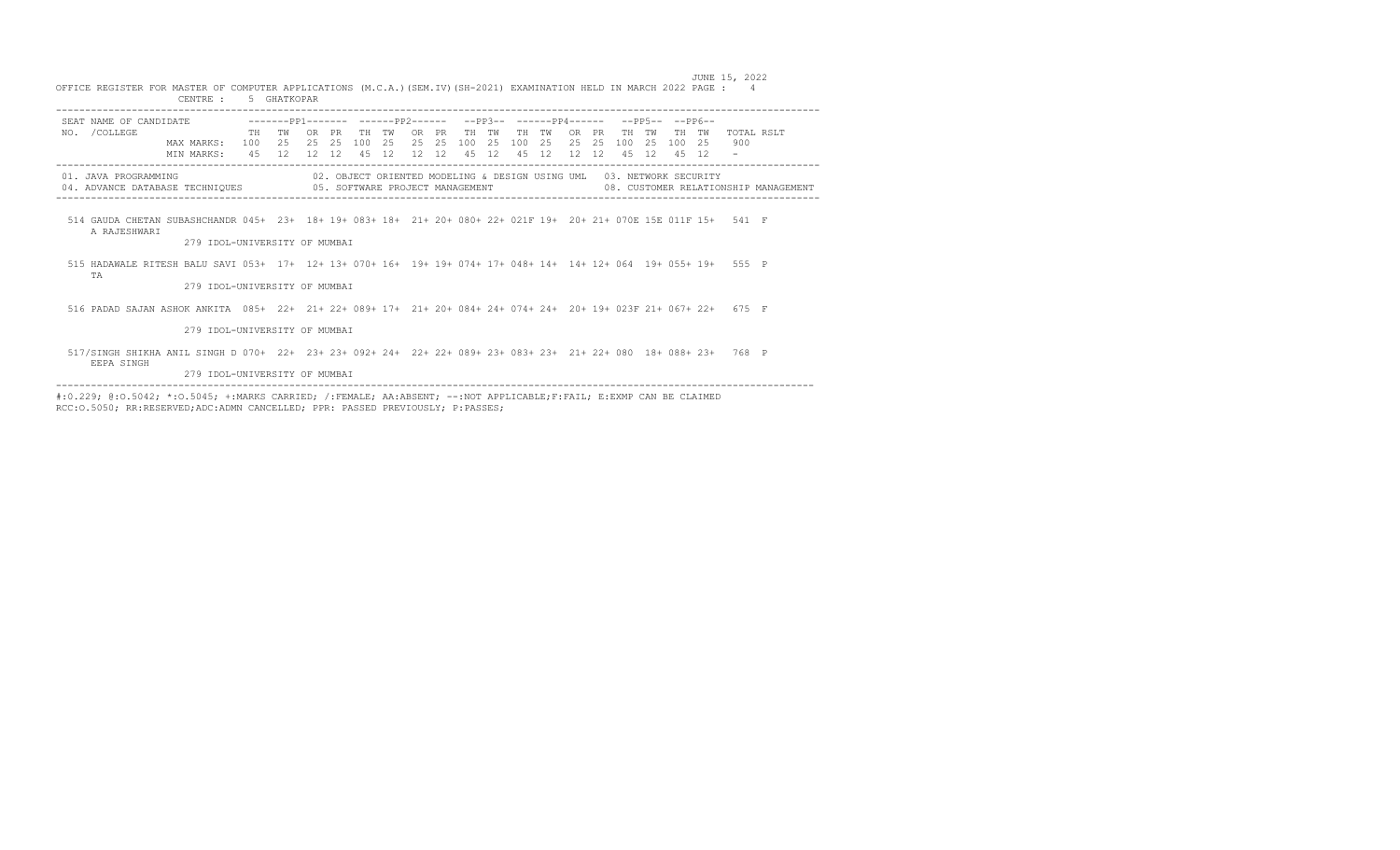|                                                                                                                                   | CENTRE :                                                     |                  | 5 GHATKOPAR        |                     |                  |                  |                  |                    |           |                  |                 |                  |                 |                  |                 |                  |                 |                 |                                                                      |                   |                                      |
|-----------------------------------------------------------------------------------------------------------------------------------|--------------------------------------------------------------|------------------|--------------------|---------------------|------------------|------------------|------------------|--------------------|-----------|------------------|-----------------|------------------|-----------------|------------------|-----------------|------------------|-----------------|-----------------|----------------------------------------------------------------------|-------------------|--------------------------------------|
| SEAT NAME OF CANDIDATE                                                                                                            | --------pp1------- -------pp2------ --pp3-- -------pp4------ |                  |                    |                     |                  |                  |                  |                    |           |                  |                 |                  |                 |                  |                 |                  |                 | --PP5-- --PP6-- |                                                                      |                   |                                      |
| NO. / COLLEGE                                                                                                                     | MAX MARKS:<br>MIN MARKS:                                     | <b>TH</b><br>100 | TW<br>2.5<br>45 12 | OR.<br>2.5<br>12 12 | <b>PR</b><br>-25 | TН<br>100<br>4.5 | TW<br>- 25<br>12 | OR PR<br>2.5<br>12 | 2.5<br>12 | TН<br>100<br>4.5 | TW<br>-25<br>12 | TH<br>100<br>4.5 | TW<br>2.5<br>12 | OR.<br>2.5<br>12 | PR<br>-25<br>12 | TН<br>100<br>4.5 | TW<br>-25<br>12 | TН<br>100<br>45 | TW<br>- 25<br>12                                                     | TOTAL RSLT<br>900 |                                      |
| 01. JAVA PROGRAMMING<br>04. ADVANCE DATABASE TECHNIQUES 605. SOFTWARE PROJECT MANAGEMENT                                          |                                                              |                  |                    |                     |                  |                  |                  |                    |           |                  |                 |                  |                 |                  |                 |                  |                 |                 | 02. OBJECT ORIENTED MODELING & DESIGN USING UML 03. NETWORK SECURITY |                   | 08. CUSTOMER RELATIONSHIP MANAGEMENT |
| 514 GAUDA CHETAN SUBASHCHANDR 045+ 23+ 18+ 19+ 083+ 18+ 21+ 20+ 080+ 22+ 021F 19+ 20+ 21+ 070E 15E 011F 15+ 541 F<br>A RAJESHWART | 279 IDOL-UNIVERSITY OF MUMBAI                                |                  |                    |                     |                  |                  |                  |                    |           |                  |                 |                  |                 |                  |                 |                  |                 |                 |                                                                      |                   |                                      |
| 515 HADAWALE RITESH BALU SAVI 053+ 17+ 12+ 13+ 070+ 16+ 19+ 19+ 074+ 17+ 048+ 14+ 14+ 12+ 064 19+ 055+ 19+ 555 P<br>TA            | 279 TDOL-UNIVERSITY OF MUMBAI                                |                  |                    |                     |                  |                  |                  |                    |           |                  |                 |                  |                 |                  |                 |                  |                 |                 |                                                                      |                   |                                      |
| 516 PADAD SAJAN ASHOK ANKITA 085+ 22+ 21+ 22+ 089+ 17+ 21+ 20+ 084+ 24+ 074+ 24+ 20+ 19+ 023F 21+ 067+ 22+ 675 F                  |                                                              |                  |                    |                     |                  |                  |                  |                    |           |                  |                 |                  |                 |                  |                 |                  |                 |                 |                                                                      |                   |                                      |
|                                                                                                                                   | 279 IDOL-UNIVERSITY OF MUMBAI                                |                  |                    |                     |                  |                  |                  |                    |           |                  |                 |                  |                 |                  |                 |                  |                 |                 |                                                                      |                   |                                      |
| 517/SINGH SHIKHA ANIL SINGH D 070+ 22+ 23+ 23+ 092+ 24+ 22+ 22+ 089+ 23+ 083+ 23+ 21+ 22+ 080 18+ 088+ 23+ 768 P<br>EEPA SINGH    |                                                              |                  |                    |                     |                  |                  |                  |                    |           |                  |                 |                  |                 |                  |                 |                  |                 |                 |                                                                      |                   |                                      |
|                                                                                                                                   | 279 TDOL-UNIVERSITY OF MUMBAI                                |                  |                    |                     |                  |                  |                  |                    |           |                  |                 |                  |                 |                  |                 |                  |                 |                 |                                                                      |                   |                                      |

 JUNE 15, 2022 OFFICE REGISTER FOR MASTER OF COMPUTER APPLICATIONS (M.C.A.)(SEM.IV)(SH-2021) EXAMINATION HELD IN MARCH 2022 PAGE : 4 CENTRE : 5 GHATKOPAR

#:0.229; @:0.5042; \*:0.5045; +:MARKS CARRIED; /:FEMALE; AA:ABSENT; --:NOT APPLICABLE;F:FAIL; E:EXMP CAN BE CLAIMED<br>RCC:0.5050; RR:RESERVED;ADC:ADMN CANCELLED; PPR: PASSED PREVIOUSLY; P:PASSES;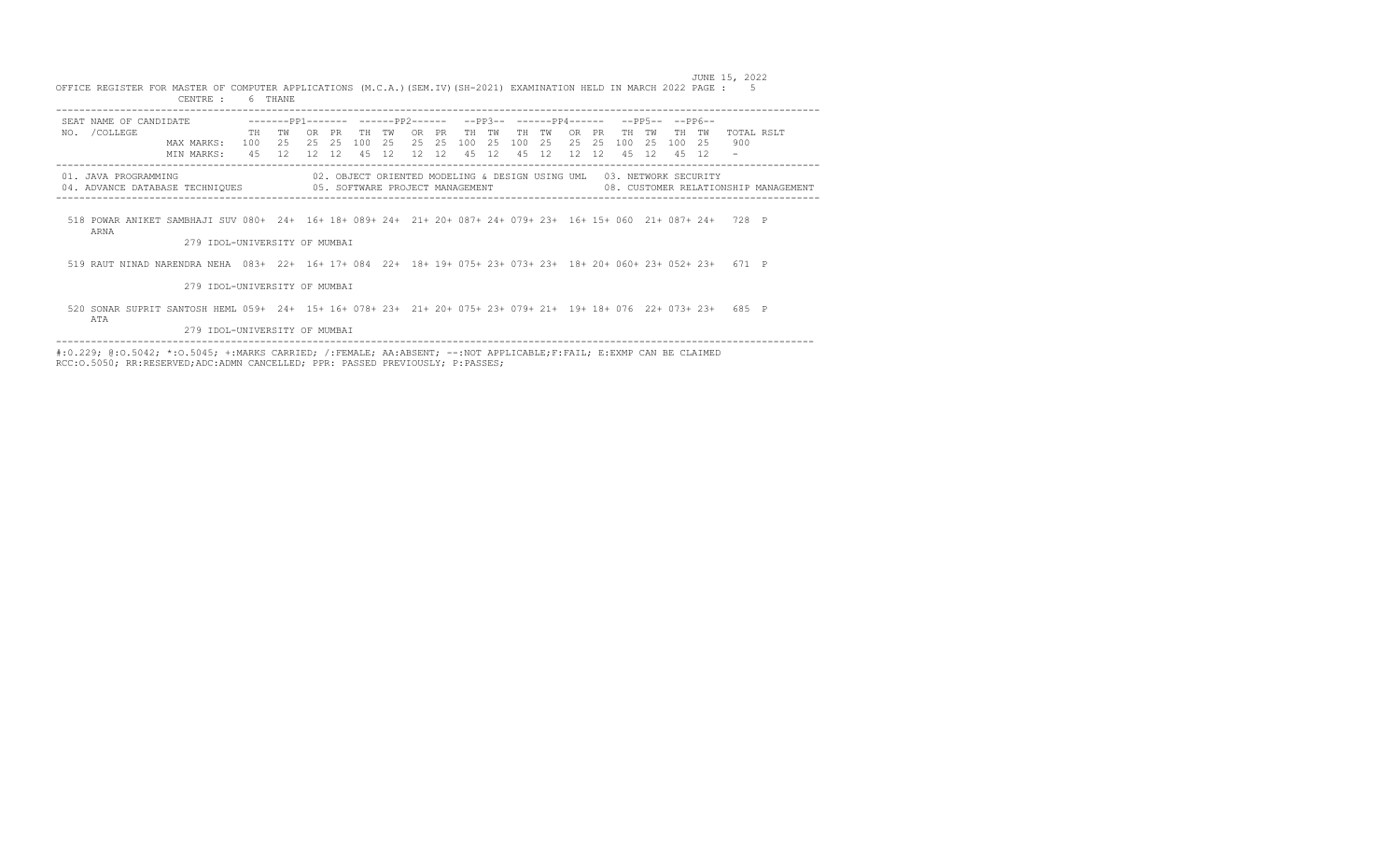|                                                                                                                   | CENTRE :                      |                   | 6 THANE         |           |                |                  |                 |                             |                 |                  |                  |                  |                                                                      |                 |                        |                 |                 |                 |                |                                                                                    |                                      |
|-------------------------------------------------------------------------------------------------------------------|-------------------------------|-------------------|-----------------|-----------|----------------|------------------|-----------------|-----------------------------|-----------------|------------------|------------------|------------------|----------------------------------------------------------------------|-----------------|------------------------|-----------------|-----------------|-----------------|----------------|------------------------------------------------------------------------------------|--------------------------------------|
| SEAT NAME OF CANDIDATE                                                                                            |                               |                   | $---PP1$        |           |                |                  | $---PP2------$  |                             |                 |                  | $--PP3--$        |                  | $---DP4---$                                                          |                 |                        |                 | $-- DP5---$     | ––PP6––         |                |                                                                                    |                                      |
| /COLLEGE<br>NO.                                                                                                   | MAX MARKS:<br>MIN MARKS:      | TH.<br>100<br>4.5 | тw<br>25<br>12. | 2.5<br>12 | PR<br>25<br>12 | TН<br>100<br>4.5 | тw<br>25<br>12. | 0 <sub>R</sub><br>2.5<br>12 | PR<br>2.5<br>12 | TН<br>100<br>4.5 | тw<br>2.5<br>12. | TН<br>100<br>4.5 | тw<br>2.5<br>12.                                                     | OR<br>2.5<br>12 | <b>PR</b><br>2.5<br>12 | TН<br>100<br>45 | TW<br>2.5<br>12 | TН<br>100<br>45 | тw<br>25<br>12 | TOTAL RSLT<br>900                                                                  |                                      |
| 01. JAVA PROGRAMMING<br>04. ADVANCE DATABASE TECHNIQUES 605. SOFTWARE PROJECT MANAGEMENT                          |                               |                   |                 |           |                |                  |                 |                             |                 |                  |                  |                  | 02. OBJECT ORIENTED MODELING & DESIGN USING UML 03. NETWORK SECURITY |                 |                        |                 |                 |                 |                |                                                                                    | 08. CUSTOMER RELATIONSHIP MANAGEMENT |
| 518 POWAR ANIKET SAMBHAJI SUV 080+ 24+ 16+18+089+24+ 21+20+087+24+079+23+ 16+15+060 21+087+24+ 728 P<br>ARNA      | 279 IDOL-UNIVERSITY OF MUMBAI |                   |                 |           |                |                  |                 |                             |                 |                  |                  |                  |                                                                      |                 |                        |                 |                 |                 |                |                                                                                    |                                      |
|                                                                                                                   |                               |                   |                 |           |                |                  |                 |                             |                 |                  |                  |                  |                                                                      |                 |                        |                 |                 |                 |                |                                                                                    |                                      |
| 519 RAUT NINAD NARENDRA NEHA                                                                                      |                               |                   |                 |           |                |                  |                 |                             |                 |                  |                  |                  |                                                                      |                 |                        |                 |                 |                 |                | 083+ 22+ 16+ 17+ 084 22+ 18+ 19+ 075+ 23+ 073+ 23+ 18+ 20+ 060+ 23+ 052+ 23+ 671 P |                                      |
|                                                                                                                   | 279 TDOL-UNIVERSITY OF MUMBAI |                   |                 |           |                |                  |                 |                             |                 |                  |                  |                  |                                                                      |                 |                        |                 |                 |                 |                |                                                                                    |                                      |
| 520 SONAR SUPRIT SANTOSH HEML 059+ 24+ 15+ 16+ 078+ 23+ 21+ 20+ 075+ 23+ 079+ 21+ 19+ 18+ 076 22+ 073+ 23+<br>ATA |                               |                   |                 |           |                |                  |                 |                             |                 |                  |                  |                  |                                                                      |                 |                        |                 |                 |                 |                | 685.                                                                               | $\mathbb{P}$                         |

 JUNE 15, 2022 OFFICE REGISTER FOR MASTER OF COMPUTER APPLICATIONS (M.C.A.)(SEM.IV)(SH-2021) EXAMINATION HELD IN MARCH 2022 PAGE : 5

279 IDOL-UNIVERSITY OF MUMBAI

---------------------------------------------------------------------------------------------------------------------------------- #:0.229; @:O.5042; \*:O.5045; +:MARKS CARRIED; /:FEMALE; AA:ABSENT; --:NOT APPLICABLE;F:FAIL; E:EXMP CAN BE CLAIMED RCC:O.5050; RR:RESERVED;ADC:ADMN CANCELLED; PPR: PASSED PREVIOUSLY; P:PASSES;